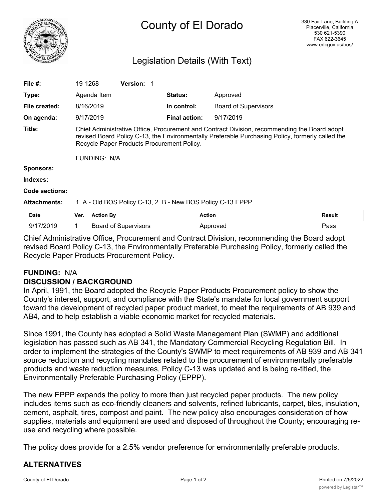

# County of El Dorado

# Legislation Details (With Text)

| File $#$ :          | 19-1268                                                                                                                                                                                                                                        |                  | <b>Version:</b>             |                      |                             |               |
|---------------------|------------------------------------------------------------------------------------------------------------------------------------------------------------------------------------------------------------------------------------------------|------------------|-----------------------------|----------------------|-----------------------------|---------------|
| Type:               |                                                                                                                                                                                                                                                | Agenda Item      |                             | <b>Status:</b>       | Approved                    |               |
| File created:       |                                                                                                                                                                                                                                                | 8/16/2019        |                             | In control:          | <b>Board of Supervisors</b> |               |
| On agenda:          |                                                                                                                                                                                                                                                | 9/17/2019        |                             | <b>Final action:</b> | 9/17/2019                   |               |
| Title:              | Chief Administrative Office, Procurement and Contract Division, recommending the Board adopt<br>revised Board Policy C-13, the Environmentally Preferable Purchasing Policy, formerly called the<br>Recycle Paper Products Procurement Policy. |                  |                             |                      |                             |               |
|                     | FUNDING: N/A                                                                                                                                                                                                                                   |                  |                             |                      |                             |               |
| <b>Sponsors:</b>    |                                                                                                                                                                                                                                                |                  |                             |                      |                             |               |
| Indexes:            |                                                                                                                                                                                                                                                |                  |                             |                      |                             |               |
| Code sections:      |                                                                                                                                                                                                                                                |                  |                             |                      |                             |               |
| <b>Attachments:</b> | 1. A - Old BOS Policy C-13, 2. B - New BOS Policy C-13 EPPP                                                                                                                                                                                    |                  |                             |                      |                             |               |
| Date                | Ver.                                                                                                                                                                                                                                           | <b>Action By</b> |                             | <b>Action</b>        |                             | <b>Result</b> |
| 9/17/2019           | 1                                                                                                                                                                                                                                              |                  | <b>Board of Supervisors</b> |                      | Approved                    | Pass          |

Chief Administrative Office, Procurement and Contract Division, recommending the Board adopt revised Board Policy C-13, the Environmentally Preferable Purchasing Policy, formerly called the Recycle Paper Products Procurement Policy.

# **FUNDING:** N/A

#### **DISCUSSION / BACKGROUND**

In April, 1991, the Board adopted the Recycle Paper Products Procurement policy to show the County's interest, support, and compliance with the State's mandate for local government support toward the development of recycled paper product market, to meet the requirements of AB 939 and AB4, and to help establish a viable economic market for recycled materials.

Since 1991, the County has adopted a Solid Waste Management Plan (SWMP) and additional legislation has passed such as AB 341, the Mandatory Commercial Recycling Regulation Bill. In order to implement the strategies of the County's SWMP to meet requirements of AB 939 and AB 341 source reduction and recycling mandates related to the procurement of environmentally preferable products and waste reduction measures, Policy C-13 was updated and is being re-titled, the Environmentally Preferable Purchasing Policy (EPPP).

The new EPPP expands the policy to more than just recycled paper products. The new policy includes items such as eco-friendly cleaners and solvents, refined lubricants, carpet, tiles, insulation, cement, asphalt, tires, compost and paint. The new policy also encourages consideration of how supplies, materials and equipment are used and disposed of throughout the County; encouraging reuse and recycling where possible.

The policy does provide for a 2.5% vendor preference for environmentally preferable products.

## **ALTERNATIVES**